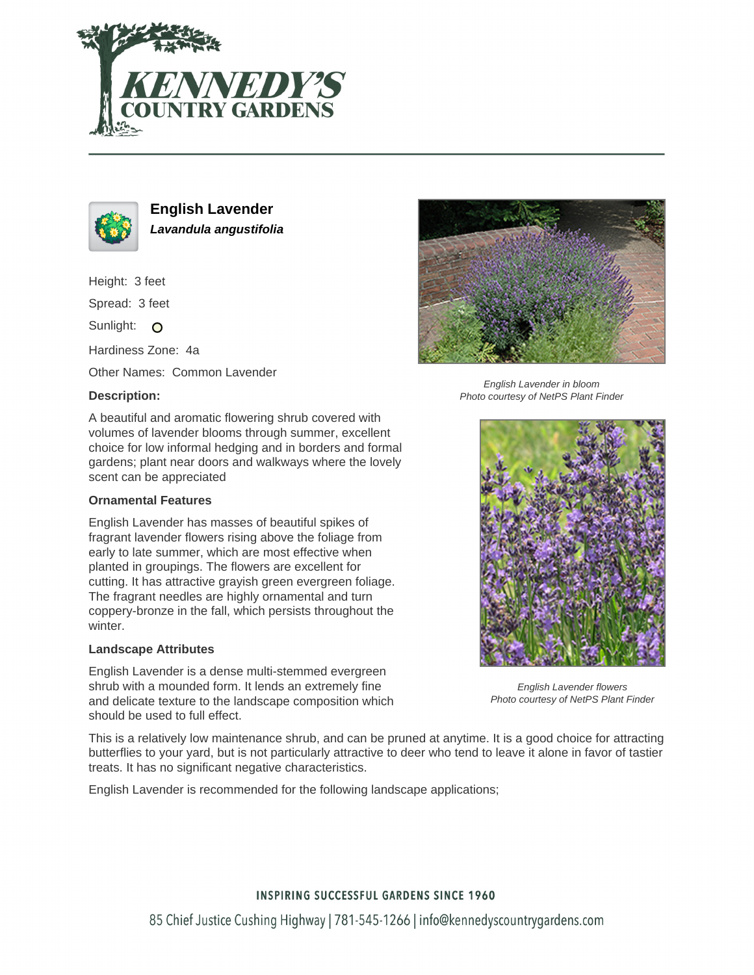



**English Lavender Lavandula angustifolia**

Height: 3 feet

Spread: 3 feet

Sunlight: O

Hardiness Zone: 4a

Other Names: Common Lavender

# **Description:**

A beautiful and aromatic flowering shrub covered with volumes of lavender blooms through summer, excellent choice for low informal hedging and in borders and formal gardens; plant near doors and walkways where the lovely scent can be appreciated

## **Ornamental Features**

English Lavender has masses of beautiful spikes of fragrant lavender flowers rising above the foliage from early to late summer, which are most effective when planted in groupings. The flowers are excellent for cutting. It has attractive grayish green evergreen foliage. The fragrant needles are highly ornamental and turn coppery-bronze in the fall, which persists throughout the winter.

## **Landscape Attributes**

English Lavender is a dense multi-stemmed evergreen shrub with a mounded form. It lends an extremely fine and delicate texture to the landscape composition which should be used to full effect.



English Lavender in bloom Photo courtesy of NetPS Plant Finder



English Lavender flowers Photo courtesy of NetPS Plant Finder

This is a relatively low maintenance shrub, and can be pruned at anytime. It is a good choice for attracting butterflies to your yard, but is not particularly attractive to deer who tend to leave it alone in favor of tastier treats. It has no significant negative characteristics.

English Lavender is recommended for the following landscape applications;

## **INSPIRING SUCCESSFUL GARDENS SINCE 1960**

85 Chief Justice Cushing Highway | 781-545-1266 | info@kennedyscountrygardens.com